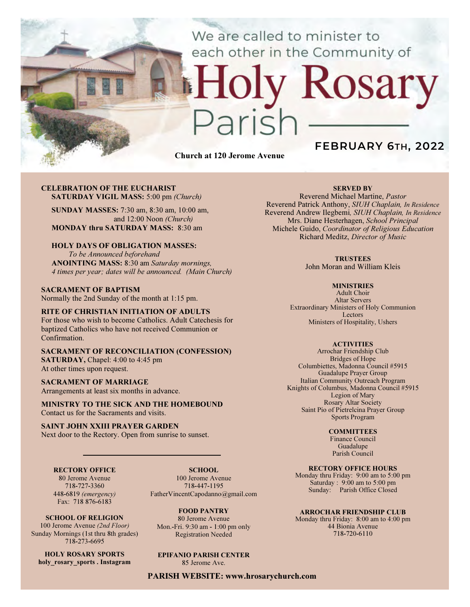We are called to minister to each other in the Community of

# Rosary

Church at 120 Jerome Avenue

# FEBRUARY 6TH, 2022

#### CELEBRATION OF THE EUCHARIST SATURDAY VIGIL MASS: 5:00 pm (Church)

SUNDAY MASSES: 7:30 am, 8:30 am, 10:00 am, and 12:00 Noon (Church) MONDAY thru SATURDAY MASS: 8:30 am

# HOLY DAYS OF OBLIGATION MASSES:

To be Announced beforehand ANOINTING MASS: 8:30 am Saturday mornings, 4 times per year; dates will be announced. (Main Church)

#### SACRAMENT OF BAPTISM

Normally the 2nd Sunday of the month at 1:15 pm.

#### RITE OF CHRISTIAN INITIATION OF ADULTS

For those who wish to become Catholics. Adult Catechesis for baptized Catholics who have not received Communion or Confirmation.

#### SACRAMENT OF RECONCILIATION (CONFESSION) SATURDAY, Chapel: 4:00 to 4:45 pm

At other times upon request.

#### SACRAMENT OF MARRIAGE

Arrangements at least six months in advance.

MINISTRY TO THE SICK AND THE HOMEBOUND Contact us for the Sacraments and visits.

#### SAINT JOHN XXIII PRAYER GARDEN

Next door to the Rectory. Open from sunrise to sunset.

#### RECTORY OFFICE

80 Jerome Avenue 718-727-3360 448-6819 (emergency) Fax: 718 876-6183

SCHOOL. 100 Jerome Avenue 718-447-1195 FatherVincentCapodanno@gmail.com

SCHOOL OF RELIGION 100 Jerome Avenue (2nd Floor)

Sunday Mornings (1st thru 8th grades) 718-273-6695

HOLY ROSARY SPORTS holy rosary sports . Instagram FOOD PANTRY

80 Jerome Avenue Mon.-Fri. 9:30 am - 1:00 pm only Registration Needed

# EPIFANIO PARISH CENTER

85 Jerome Ave.

#### PARISH WEBSITE: www.hrosarychurch.com

#### SERVED BY

Reverend Michael Martine, Pastor Reverend Patrick Anthony, SIUH Chaplain, In Residence Reverend Andrew Ilegbemi, SIUH Chaplain, In Residence Mrs. Diane Hesterhagen, School Principal Michele Guido, Coordinator of Religious Education Richard Meditz, Director of Music

#### **TRUSTEES**

John Moran and William Kleis

#### **MINISTRIES**

Adult Choir Altar Servers Extraordinary Ministers of Holy Communion Lectors Ministers of Hospitality, Ushers

#### **ACTIVITIES**

Arrochar Friendship Club Bridges of Hope Columbiettes, Madonna Council #5915 Guadalupe Prayer Group Italian Community Outreach Program Knights of Columbus, Madonna Council #5915 Legion of Mary Rosary Altar Society Saint Pio of Pietrelcina Prayer Group Sports Program

#### **COMMITTEES**

Finance Council Guadalupe Parish Council

#### RECTORY OFFICE HOURS

Monday thru Friday: 9:00 am to 5:00 pm Saturday : 9:00 am to 5:00 pm Sunday: Parish Office Closed

#### ARROCHAR FRIENDSHIP CLUB

Monday thru Friday: 8:00 am to 4:00 pm 44 Bionia Avenue 718-720-6110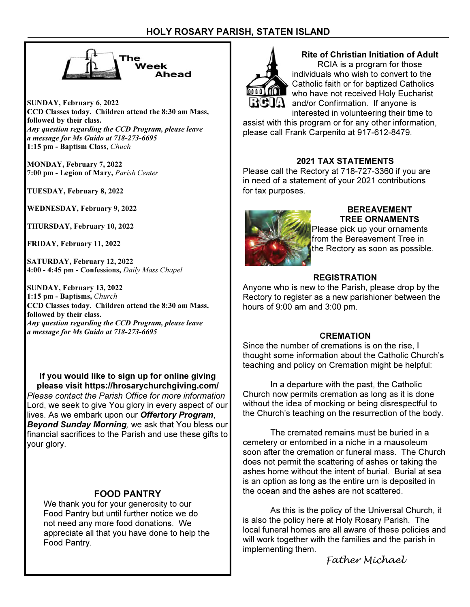

SUNDAY, February 6, 2022 CCD Classes today. Children attend the 8:30 am Mass, followed by their class. Any question regarding the CCD Program, please leave a message for Ms Guido at 718-273-6695 1:15 pm - Baptism Class, Chuch

MONDAY, February 7, 2022 7:00 pm - Legion of Mary, Parish Center

TUESDAY, February 8, 2022

WEDNESDAY, February 9, 2022

THURSDAY, February 10, 2022

FRIDAY, February 11, 2022

SATURDAY, February 12, 2022 4:00 - 4:45 pm - Confessions, Daily Mass Chapel

SUNDAY, February 13, 2022 1:15 pm - Baptisms, Church CCD Classes today. Children attend the 8:30 am Mass, followed by their class. Any question regarding the CCD Program, please leave a message for Ms Guido at 718-273-6695

If you would like to sign up for online giving please visit https://hrosarychurchgiving.com/ Please contact the Parish Office for more information Lord, we seek to give You glory in every aspect of our lives. As we embark upon our **Offertory Program**, Beyond Sunday Morning, we ask that You bless our financial sacrifices to the Parish and use these gifts to your glory.

# FOOD PANTRY

We thank you for your generosity to our Food Pantry but until further notice we do not need any more food donations. We appreciate all that you have done to help the Food Pantry.



#### Rite of Christian Initiation of Adult RCIA is a program for those

individuals who wish to convert to the Catholic faith or for baptized Catholics who have not received Holy Eucharist  $\mathbf{ii} \mathbf{G} \mathbf{u}$  and/or Confirmation. If anyone is interested in volunteering their time to

assist with this program or for any other information, please call Frank Carpenito at 917-612-8479.

# 2021 TAX STATEMENTS

Please call the Rectory at 718-727-3360 if you are in need of a statement of your 2021 contributions for tax purposes.



# BEREAVEMENT TREE ORNAMENTS

Please pick up your ornaments from the Bereavement Tree in the Rectory as soon as possible.

# **REGISTRATION**

Anyone who is new to the Parish, please drop by the Rectory to register as a new parishioner between the hours of 9:00 am and 3:00 pm.

# **CREMATION**

Since the number of cremations is on the rise, I thought some information about the Catholic Church's teaching and policy on Cremation might be helpful:

 In a departure with the past, the Catholic Church now permits cremation as long as it is done without the idea of mocking or being disrespectful to the Church's teaching on the resurrection of the body.

 The cremated remains must be buried in a cemetery or entombed in a niche in a mausoleum soon after the cremation or funeral mass. The Church does not permit the scattering of ashes or taking the ashes home without the intent of burial. Burial at sea is an option as long as the entire urn is deposited in the ocean and the ashes are not scattered.

 As this is the policy of the Universal Church, it is also the policy here at Holy Rosary Parish. The local funeral homes are all aware of these policies and will work together with the families and the parish in implementing them.

Father Michael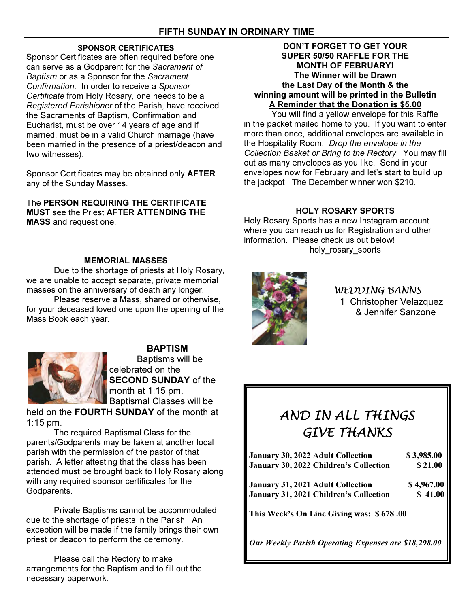# SPONSOR CERTIFICATES

Sponsor Certificates are often required before one can serve as a Godparent for the Sacrament of Baptism or as a Sponsor for the Sacrament Confirmation. In order to receive a Sponsor Certificate from Holy Rosary, one needs to be a Registered Parishioner of the Parish, have received the Sacraments of Baptism, Confirmation and Eucharist, must be over 14 years of age and if married, must be in a valid Church marriage (have been married in the presence of a priest/deacon and two witnesses).

Sponsor Certificates may be obtained only AFTER any of the Sunday Masses.

The PERSON REQUIRING THE CERTIFICATE MUST see the Priest AFTER ATTENDING THE MASS and request one.

# MEMORIAL MASSES

 Due to the shortage of priests at Holy Rosary, we are unable to accept separate, private memorial masses on the anniversary of death any longer.

 Please reserve a Mass, shared or otherwise, for your deceased loved one upon the opening of the Mass Book each year.



BAPTISM Baptisms will be celebrated on the SECOND SUNDAY of the month at 1:15 pm. Baptismal Classes will be

held on the FOURTH SUNDAY of the month at 1:15 pm.

The required Baptismal Class for the parents/Godparents may be taken at another local parish with the permission of the pastor of that parish. A letter attesting that the class has been attended must be brought back to Holy Rosary along with any required sponsor certificates for the Godparents.

 Private Baptisms cannot be accommodated due to the shortage of priests in the Parish. An exception will be made if the family brings their own priest or deacon to perform the ceremony.

 Please call the Rectory to make arrangements for the Baptism and to fill out the necessary paperwork.

# DON'T FORGET TO GET YOUR SUPER 50/50 RAFFLE FOR THE MONTH OF FEBRUARY! The Winner will be Drawn the Last Day of the Month & the winning amount will be printed in the Bulletin A Reminder that the Donation is \$5.00

 You will find a yellow envelope for this Raffle in the packet mailed home to you. If you want to enter more than once, additional envelopes are available in the Hospitality Room. Drop the envelope in the Collection Basket or Bring to the Rectory. You may fill out as many envelopes as you like. Send in your envelopes now for February and let's start to build up the jackpot! The December winner won \$210.

# HOLY ROSARY SPORTS

Holy Rosary Sports has a new Instagram account where you can reach us for Registration and other information. Please check us out below! holy rosary sports



WEDDING BANNS 1 Christopher Velazquez & Jennifer Sanzone

# AND IN ALL THINGS GIVE THANKS

| January 30, 2022 Adult Collection        | \$3,985.00 |
|------------------------------------------|------------|
| January 30, 2022 Children's Collection   | \$21.00    |
| <b>January 31, 2021 Adult Collection</b> | \$4,967.00 |
| January 31, 2021 Children's Collection   | \$41.00    |
| This Week's On Line Giving was: \$678.00 |            |
|                                          |            |

Our Weekly Parish Operating Expenses are \$18,298.00